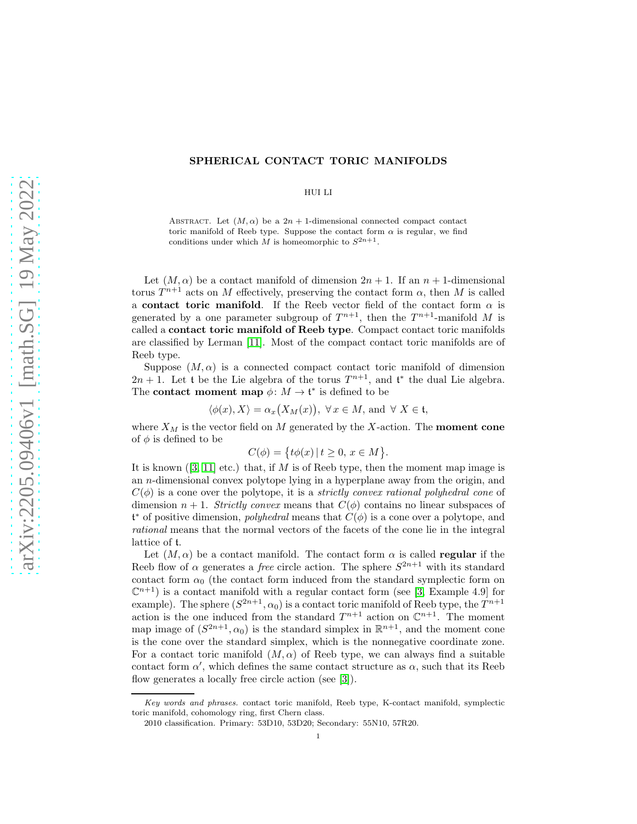## SPHERICAL CONTACT TORIC MANIFOLDS

## HUI LI

ABSTRACT. Let  $(M, \alpha)$  be a  $2n + 1$ -dimensional connected compact contact toric manifold of Reeb type. Suppose the contact form  $\alpha$  is regular, we find conditions under which  $\tilde{M}$  is homeomorphic to  $S^{2n+1}$ .

Let  $(M, \alpha)$  be a contact manifold of dimension  $2n + 1$ . If an  $n + 1$ -dimensional torus  $T^{n+1}$  acts on M effectively, preserving the contact form  $\alpha$ , then M is called a contact toric manifold. If the Reeb vector field of the contact form  $\alpha$  is generated by a one parameter subgroup of  $T^{n+1}$ , then the  $T^{n+1}$ -manifold M is called a contact toric manifold of Reeb type. Compact contact toric manifolds are classified by Lerman [\[11\]](#page-4-0). Most of the compact contact toric manifolds are of Reeb type.

Suppose  $(M, \alpha)$  is a connected compact contact toric manifold of dimension  $2n + 1$ . Let t be the Lie algebra of the torus  $T^{n+1}$ , and t<sup>\*</sup> the dual Lie algebra. The **contact moment map**  $\phi: M \to \mathfrak{t}^*$  is defined to be

$$
\langle \phi(x), X \rangle = \alpha_x(X_M(x)), \ \forall x \in M, \text{ and } \forall X \in \mathfrak{t},
$$

where  $X_M$  is the vector field on M generated by the X-action. The **moment cone** of  $\phi$  is defined to be

$$
C(\phi) = \{ t\phi(x) \mid t \ge 0, x \in M \}.
$$

It is known  $([3, 11]$  $([3, 11]$  $([3, 11]$  etc.) that, if  $M$  is of Reeb type, then the moment map image is an n-dimensional convex polytope lying in a hyperplane away from the origin, and  $C(\phi)$  is a cone over the polytope, it is a *strictly convex rational polyhedral cone* of dimension  $n + 1$ . Strictly convex means that  $C(\phi)$  contains no linear subspaces of  $\mathfrak{t}^*$  of positive dimension, *polyhedral* means that  $C(\phi)$  is a cone over a polytope, and rational means that the normal vectors of the facets of the cone lie in the integral lattice of t.

Let  $(M, \alpha)$  be a contact manifold. The contact form  $\alpha$  is called regular if the Reeb flow of  $\alpha$  generates a *free* circle action. The sphere  $S^{2n+1}$  with its standard contact form  $\alpha_0$  (the contact form induced from the standard symplectic form on  $\mathbb{C}^{n+1}$ ) is a contact manifold with a regular contact form (see [\[3,](#page-3-0) Example 4.9] for example). The sphere  $(S^{2n+1}, \alpha_0)$  is a contact toric manifold of Reeb type, the  $T^{n+1}$ action is the one induced from the standard  $T^{n+1}$  action on  $\mathbb{C}^{n+1}$ . The moment map image of  $(S^{2n+1}, \alpha_0)$  is the standard simplex in  $\mathbb{R}^{n+1}$ , and the moment cone is the cone over the standard simplex, which is the nonnegative coordinate zone. For a contact toric manifold  $(M, \alpha)$  of Reeb type, we can always find a suitable contact form  $\alpha'$ , which defines the same contact structure as  $\alpha$ , such that its Reeb flow generates a locally free circle action (see [\[3\]](#page-3-0)).

Key words and phrases. contact toric manifold, Reeb type, K-contact manifold, symplectic toric manifold, cohomology ring, first Chern class.

<sup>2010</sup> classification. Primary: 53D10, 53D20; Secondary: 55N10, 57R20.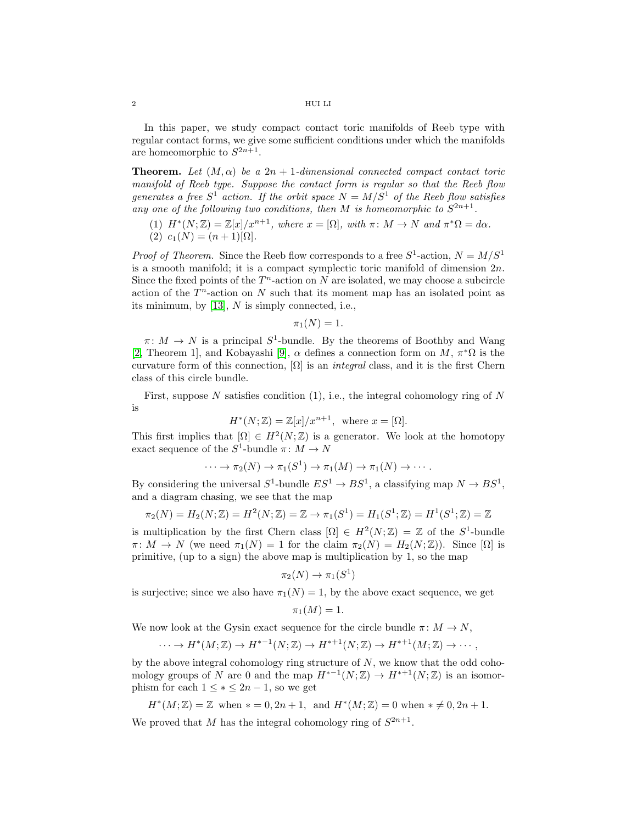## 2 HUI LI

In this paper, we study compact contact toric manifolds of Reeb type with regular contact forms, we give some sufficient conditions under which the manifolds are homeomorphic to  $S^{2n+1}$ .

**Theorem.** Let  $(M, \alpha)$  be a  $2n + 1$ -dimensional connected compact contact toric manifold of Reeb type. Suppose the contact form is regular so that the Reeb flow generates a free  $S^1$  action. If the orbit space  $N = M/S^1$  of the Reeb flow satisfies any one of the following two conditions, then M is homeomorphic to  $S^{2n+1}$ .

(1)  $H^*(N;\mathbb{Z}) = \mathbb{Z}[x]/x^{n+1}$ , where  $x = [\Omega]$ , with  $\pi \colon M \to N$  and  $\pi^*\Omega = d\alpha$ . (2)  $c_1(N) = (n+1)$ [Ω].

*Proof of Theorem.* Since the Reeb flow corresponds to a free  $S^1$ -action,  $N = M/S^1$ is a smooth manifold; it is a compact symplectic toric manifold of dimension  $2n$ . Since the fixed points of the  $T<sup>n</sup>$ -action on N are isolated, we may choose a subcircle action of the  $T<sup>n</sup>$ -action on N such that its moment map has an isolated point as its minimum, by [\[13\]](#page-4-1), N is simply connected, i.e.,

$$
\pi_1(N)=1.
$$

 $\pi: M \to N$  is a principal  $S^1$ -bundle. By the theorems of Boothby and Wang [\[2,](#page-3-1) Theorem 1], and Kobayashi [\[9\]](#page-4-2),  $\alpha$  defines a connection form on  $\overline{M}$ ,  $\pi^*\Omega$  is the curvature form of this connection,  $[\Omega]$  is an *integral* class, and it is the first Chern class of this circle bundle.

First, suppose  $N$  satisfies condition  $(1)$ , i.e., the integral cohomology ring of  $N$ is

$$
H^*(N; \mathbb{Z}) = \mathbb{Z}[x]/x^{n+1}, \text{ where } x = [\Omega].
$$

This first implies that  $[\Omega] \in H^2(N;\mathbb{Z})$  is a generator. We look at the homotopy exact sequence of the  $S^1$ -bundle  $\pi \colon M \to N$ 

$$
\cdots \to \pi_2(N) \to \pi_1(S^1) \to \pi_1(M) \to \pi_1(N) \to \cdots
$$

By considering the universal  $S^1$ -bundle  $ES^1 \to BS^1$ , a classifying map  $N \to BS^1$ , and a diagram chasing, we see that the map

$$
\pi_2(N) = H_2(N; \mathbb{Z}) = H^2(N; \mathbb{Z}) = \mathbb{Z} \to \pi_1(S^1) = H_1(S^1; \mathbb{Z}) = H^1(S^1; \mathbb{Z}) = \mathbb{Z}
$$

is multiplication by the first Chern class  $[\Omega] \in H^2(N;\mathbb{Z}) = \mathbb{Z}$  of the  $S^1$ -bundle  $\pi: M \to N$  (we need  $\pi_1(N) = 1$  for the claim  $\pi_2(N) = H_2(N; \mathbb{Z})$ ). Since  $[\Omega]$  is primitive, (up to a sign) the above map is multiplication by  $1$ , so the map

$$
\pi_2(N) \to \pi_1(S^1)
$$

is surjective; since we also have  $\pi_1(N) = 1$ , by the above exact sequence, we get

$$
\pi_1(M) = 1.
$$

We now look at the Gysin exact sequence for the circle bundle  $\pi: M \to N$ ,

$$
\cdots \to H^*(M;\mathbb{Z}) \to H^{*-1}(N;\mathbb{Z}) \to H^{*+1}(N;\mathbb{Z}) \to H^{*+1}(M;\mathbb{Z}) \to \cdots,
$$

by the above integral cohomology ring structure of  $N$ , we know that the odd cohomology groups of N are 0 and the map  $H^{*-1}(N;\mathbb{Z}) \to H^{*+1}(N;\mathbb{Z})$  is an isomorphism for each  $1 \leq * \leq 2n - 1$ , so we get

$$
H^*(M; \mathbb{Z}) = \mathbb{Z} \text{ when } * = 0, 2n + 1, \text{ and } H^*(M; \mathbb{Z}) = 0 \text{ when } * \neq 0, 2n + 1.
$$

We proved that M has the integral cohomology ring of  $S^{2n+1}$ .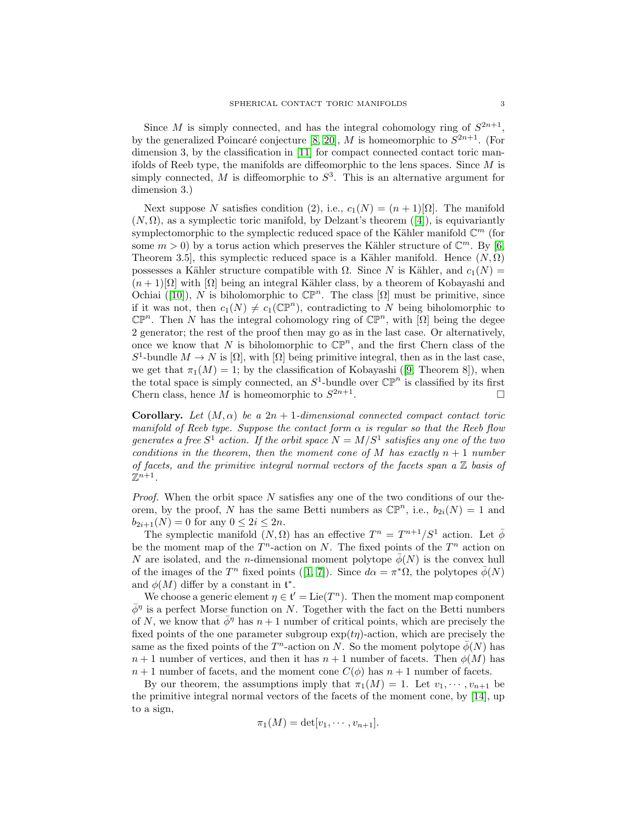Since M is simply connected, and has the integral cohomology ring of  $S^{2n+1}$ , by the generalized Poincaré conjecture [\[8,](#page-4-3) [20\]](#page-4-4), M is homeomorphic to  $S^{2n+1}$ . (For dimension 3, by the classification in [\[11\]](#page-4-0) for compact connected contact toric manifolds of Reeb type, the manifolds are diffeomorphic to the lens spaces. Since  $M$  is simply connected, M is diffeomorphic to  $S^3$ . This is an alternative argument for dimension 3.)

Next suppose N satisfies condition (2), i.e.,  $c_1(N) = (n+1)$ [Ω]. The manifold  $(N, \Omega)$ , as a symplectic toric manifold, by Delzant's theorem ([\[4\]](#page-3-2)), is equivariantly symplectomorphic to the symplectic reduced space of the Kähler manifold  $\mathbb{C}^m$  (for some  $m > 0$ ) by a torus action which preserves the Kähler structure of  $\mathbb{C}^m$ . By [\[6,](#page-4-5) Theorem 3.5], this symplectic reduced space is a Kähler manifold. Hence  $(N, \Omega)$ possesses a Kähler structure compatible with  $\Omega$ . Since N is Kähler, and  $c_1(N)$  =  $(n+1)\Omega$  with  $\Omega$  being an integral Kähler class, by a theorem of Kobayashi and Ochiai ([\[10\]](#page-4-6)), N is biholomorphic to  $\mathbb{CP}^n$ . The class [ $\Omega$ ] must be primitive, since if it was not, then  $c_1(N) \neq c_1(\mathbb{CP}^n)$ , contradicting to N being biholomorphic to  $\mathbb{CP}^n$ . Then N has the integral cohomology ring of  $\mathbb{CP}^n$ , with  $[\Omega]$  being the degee 2 generator; the rest of the proof then may go as in the last case. Or alternatively, once we know that N is biholomorphic to  $\mathbb{CP}^n$ , and the first Chern class of the S<sup>1</sup>-bundle  $M \to N$  is  $[\Omega]$ , with  $[\Omega]$  being primitive integral, then as in the last case, we get that  $\pi_1(M) = 1$ ; by the classification of Kobayashi ([\[9,](#page-4-2) Theorem 8]), when the total space is simply connected, an  $S^1$ -bundle over  $\mathbb{CP}^n$  is classified by its first Chern class, hence M is homeomorphic to  $S^{2n+1}$ .

Corollary. Let  $(M, \alpha)$  be a  $2n + 1$ -dimensional connected compact contact toric manifold of Reeb type. Suppose the contact form  $\alpha$  is regular so that the Reeb flow generates a free  $S^1$  action. If the orbit space  $N = M/S^1$  satisfies any one of the two conditions in the theorem, then the moment cone of M has exactly  $n+1$  number of facets, and the primitive integral normal vectors of the facets span a  $\mathbb Z$  basis of  $\mathbb{Z}^{n+1}$ .

*Proof.* When the orbit space  $N$  satisfies any one of the two conditions of our theorem, by the proof, N has the same Betti numbers as  $\mathbb{CP}^n$ , i.e.,  $b_{2i}(N) = 1$  and  $b_{2i+1}(N) = 0$  for any  $0 \le 2i \le 2n$ .

The symplectic manifold  $(N, \Omega)$  has an effective  $T^n = T^{n+1}/S^1$  action. Let  $\bar{\phi}$ be the moment map of the  $T^n$ -action on N. The fixed points of the  $T^n$  action on N are isolated, and the n-dimensional moment polytope  $\bar{\phi}(N)$  is the convex hull of the images of the  $T^n$  fixed points ([\[1,](#page-3-3) [7\]](#page-4-7)). Since  $d\alpha = \pi^*\Omega$ , the polytopes  $\bar{\phi}(N)$ and  $\phi(M)$  differ by a constant in  $\mathfrak{t}^*$ .

We choose a generic element  $\eta \in \mathfrak{t}' = \mathrm{Lie}(T^n)$ . Then the moment map component  $\bar{\phi}^{\eta}$  is a perfect Morse function on N. Together with the fact on the Betti numbers of N, we know that  $\phi^{\eta}$  has  $n+1$  number of critical points, which are precisely the fixed points of the one parameter subgroup  $\exp(t\eta)$ -action, which are precisely the same as the fixed points of the  $T^n$ -action on N. So the moment polytope  $\bar{\phi}(N)$  has  $n+1$  number of vertices, and then it has  $n+1$  number of facets. Then  $\phi(M)$  has  $n+1$  number of facets, and the moment cone  $C(\phi)$  has  $n+1$  number of facets.

By our theorem, the assumptions imply that  $\pi_1(M) = 1$ . Let  $v_1, \dots, v_{n+1}$  be the primitive integral normal vectors of the facets of the moment cone, by [\[14\]](#page-4-8), up to a sign,

$$
\pi_1(M)=\det[v_1,\cdots,v_{n+1}].
$$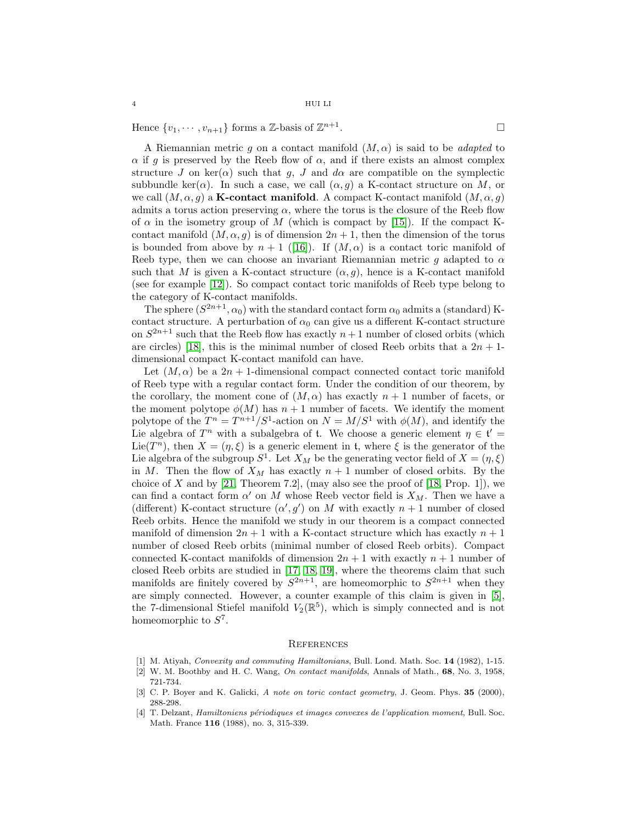Hence  $\{v_1, \dots, v_{n+1}\}\)$  forms a  $\mathbb{Z}$ -basis of  $\mathbb{Z}^{n+1}$ 

A Riemannian metric g on a contact manifold  $(M, \alpha)$  is said to be *adapted* to  $\alpha$  if g is preserved by the Reeb flow of  $\alpha$ , and if there exists an almost complex structure J on ker( $\alpha$ ) such that g, J and d $\alpha$  are compatible on the symplectic subbundle ker( $\alpha$ ). In such a case, we call  $(\alpha, q)$  a K-contact structure on M, or we call  $(M, \alpha, q)$  a **K-contact manifold**. A compact K-contact manifold  $(M, \alpha, q)$ admits a torus action preserving  $\alpha$ , where the torus is the closure of the Reeb flow of  $\alpha$  in the isometry group of M (which is compact by [\[15\]](#page-4-9)). If the compact Kcontact manifold  $(M, \alpha, g)$  is of dimension  $2n + 1$ , then the dimension of the torus is bounded from above by  $n + 1$  ([\[16\]](#page-4-10)). If  $(M, \alpha)$  is a contact toric manifold of Reeb type, then we can choose an invariant Riemannian metric q adapted to  $\alpha$ such that M is given a K-contact structure  $(\alpha, g)$ , hence is a K-contact manifold (see for example [\[12\]](#page-4-11)). So compact contact toric manifolds of Reeb type belong to the category of K-contact manifolds.

The sphere  $(S^{2n+1}, \alpha_0)$  with the standard contact form  $\alpha_0$  admits a (standard) Kcontact structure. A perturbation of  $\alpha_0$  can give us a different K-contact structure on  $S^{2n+1}$  such that the Reeb flow has exactly  $n+1$  number of closed orbits (which are circles) [\[18\]](#page-4-12), this is the minimal number of closed Reeb orbits that a  $2n + 1$ dimensional compact K-contact manifold can have.

Let  $(M, \alpha)$  be a  $2n + 1$ -dimensional compact connected contact toric manifold of Reeb type with a regular contact form. Under the condition of our theorem, by the corollary, the moment cone of  $(M, \alpha)$  has exactly  $n + 1$  number of facets, or the moment polytope  $\phi(M)$  has  $n+1$  number of facets. We identify the moment polytope of the  $T^n = T^{n+1}/S^1$ -action on  $N = M/S^1$  with  $\phi(M)$ , and identify the Lie algebra of  $T^n$  with a subalgebra of t. We choose a generic element  $\eta \in \mathfrak{t}' =$ Lie(T<sup>n</sup>), then  $X = (\eta, \xi)$  is a generic element in t, where  $\xi$  is the generator of the Lie algebra of the subgroup  $S^1$ . Let  $X_M$  be the generating vector field of  $X = (\eta, \xi)$ in M. Then the flow of  $X_M$  has exactly  $n + 1$  number of closed orbits. By the choice of X and by  $[21,$  Theorem 7.2,  $\ldots$  also see the proof of  $[18,$  Prop. 1], we can find a contact form  $\alpha'$  on M whose Reeb vector field is  $X_M$ . Then we have a (different) K-contact structure  $(\alpha', g')$  on M with exactly  $n + 1$  number of closed Reeb orbits. Hence the manifold we study in our theorem is a compact connected manifold of dimension  $2n + 1$  with a K-contact structure which has exactly  $n + 1$ number of closed Reeb orbits (minimal number of closed Reeb orbits). Compact connected K-contact manifolds of dimension  $2n + 1$  with exactly  $n + 1$  number of closed Reeb orbits are studied in [\[17,](#page-4-14) [18,](#page-4-12) [19\]](#page-4-15), where the theorems claim that such manifolds are finitely covered by  $S^{2n+1}$ , are homeomorphic to  $S^{2n+1}$  when they are simply connected. However, a counter example of this claim is given in [\[5\]](#page-4-16), the 7-dimensional Stiefel manifold  $V_2(\mathbb{R}^5)$ , which is simply connected and is not homeomorphic to  $S^7$ .

## **REFERENCES**

<span id="page-3-3"></span><span id="page-3-1"></span>[1] M. Atiyah, Convexity and commuting Hamiltonians, Bull. Lond. Math. Soc. 14 (1982), 1-15.

- <span id="page-3-0"></span>[3] C. P. Boyer and K. Galicki, A note on toric contact geometry, J. Geom. Phys. 35 (2000), 288-298.
- <span id="page-3-2"></span>[4] T. Delzant, Hamiltoniens périodiques et images convexes de l'application moment, Bull. Soc. Math. France 116 (1988), no. 3, 315-339.

<sup>[2]</sup> W. M. Boothby and H. C. Wang, On contact manifolds, Annals of Math., 68, No. 3, 1958, 721-734.